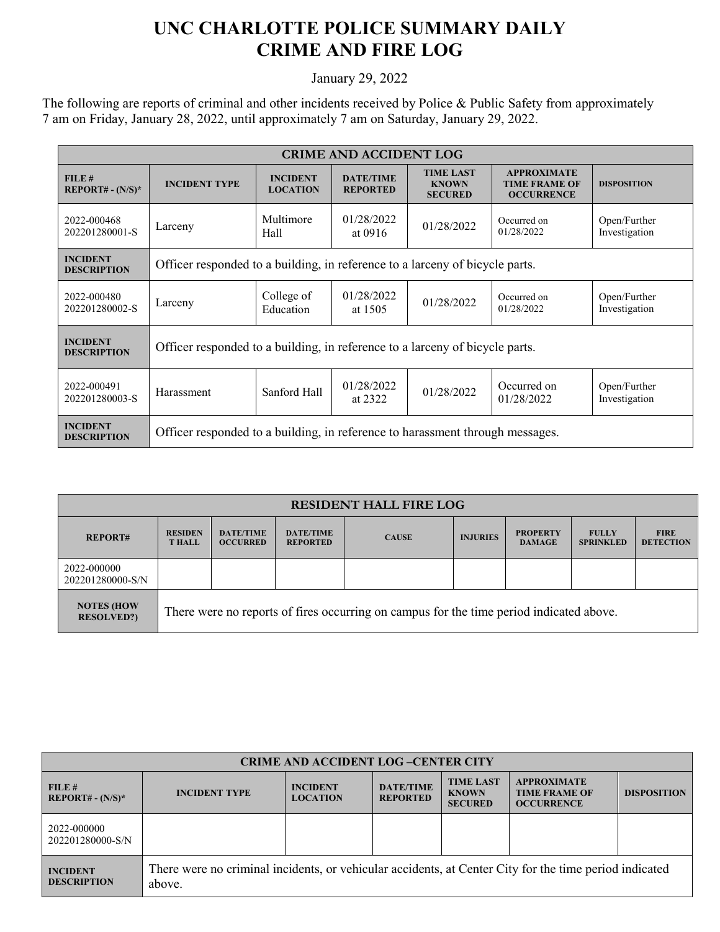## **UNC CHARLOTTE POLICE SUMMARY DAILY CRIME AND FIRE LOG**

January 29, 2022

The following are reports of criminal and other incidents received by Police & Public Safety from approximately 7 am on Friday, January 28, 2022, until approximately 7 am on Saturday, January 29, 2022.

| <b>CRIME AND ACCIDENT LOG</b>         |                                                                               |                                    |                                     |                                                    |                                                                 |                               |  |  |
|---------------------------------------|-------------------------------------------------------------------------------|------------------------------------|-------------------------------------|----------------------------------------------------|-----------------------------------------------------------------|-------------------------------|--|--|
| FILE#<br>$REPORT# - (N/S)*$           | <b>INCIDENT TYPE</b>                                                          | <b>INCIDENT</b><br><b>LOCATION</b> | <b>DATE/TIME</b><br><b>REPORTED</b> | <b>TIME LAST</b><br><b>KNOWN</b><br><b>SECURED</b> | <b>APPROXIMATE</b><br><b>TIME FRAME OF</b><br><b>OCCURRENCE</b> | <b>DISPOSITION</b>            |  |  |
| 2022-000468<br>202201280001-S         | Larceny                                                                       | Multimore<br>Hall                  | 01/28/2022<br>at 0916               | 01/28/2022                                         | Occurred on<br>01/28/2022                                       | Open/Further<br>Investigation |  |  |
| <b>INCIDENT</b><br><b>DESCRIPTION</b> | Officer responded to a building, in reference to a larceny of bicycle parts.  |                                    |                                     |                                                    |                                                                 |                               |  |  |
| 2022-000480<br>202201280002-S         | Larceny                                                                       | College of<br>Education            | 01/28/2022<br>at 1505               | 01/28/2022                                         | Occurred on<br>01/28/2022                                       | Open/Further<br>Investigation |  |  |
| <b>INCIDENT</b><br><b>DESCRIPTION</b> | Officer responded to a building, in reference to a larceny of bicycle parts.  |                                    |                                     |                                                    |                                                                 |                               |  |  |
| 2022-000491<br>202201280003-S         | Harassment                                                                    | Sanford Hall                       | 01/28/2022<br>at 2322               | 01/28/2022                                         | Occurred on<br>01/28/2022                                       | Open/Further<br>Investigation |  |  |
| <b>INCIDENT</b><br><b>DESCRIPTION</b> | Officer responded to a building, in reference to harassment through messages. |                                    |                                     |                                                    |                                                                 |                               |  |  |

| <b>RESIDENT HALL FIRE LOG</b>          |                                                                                         |                                     |                                     |              |                 |                                  |                                  |                                 |
|----------------------------------------|-----------------------------------------------------------------------------------------|-------------------------------------|-------------------------------------|--------------|-----------------|----------------------------------|----------------------------------|---------------------------------|
| <b>REPORT#</b>                         | <b>RESIDEN</b><br><b>THALL</b>                                                          | <b>DATE/TIME</b><br><b>OCCURRED</b> | <b>DATE/TIME</b><br><b>REPORTED</b> | <b>CAUSE</b> | <b>INJURIES</b> | <b>PROPERTY</b><br><b>DAMAGE</b> | <b>FULLY</b><br><b>SPRINKLED</b> | <b>FIRE</b><br><b>DETECTION</b> |
| 2022-000000<br>202201280000-S/N        |                                                                                         |                                     |                                     |              |                 |                                  |                                  |                                 |
| <b>NOTES (HOW</b><br><b>RESOLVED?)</b> | There were no reports of fires occurring on campus for the time period indicated above. |                                     |                                     |              |                 |                                  |                                  |                                 |

| <b>CRIME AND ACCIDENT LOG-CENTER CITY</b> |                                                                                                                  |                                    |                                     |                                                    |                                                                 |                    |  |
|-------------------------------------------|------------------------------------------------------------------------------------------------------------------|------------------------------------|-------------------------------------|----------------------------------------------------|-----------------------------------------------------------------|--------------------|--|
| FILE#<br>$REPORT# - (N/S)*$               | <b>INCIDENT TYPE</b>                                                                                             | <b>INCIDENT</b><br><b>LOCATION</b> | <b>DATE/TIME</b><br><b>REPORTED</b> | <b>TIME LAST</b><br><b>KNOWN</b><br><b>SECURED</b> | <b>APPROXIMATE</b><br><b>TIME FRAME OF</b><br><b>OCCURRENCE</b> | <b>DISPOSITION</b> |  |
| 2022-000000<br>202201280000-S/N           |                                                                                                                  |                                    |                                     |                                                    |                                                                 |                    |  |
| <b>INCIDENT</b><br><b>DESCRIPTION</b>     | There were no criminal incidents, or vehicular accidents, at Center City for the time period indicated<br>above. |                                    |                                     |                                                    |                                                                 |                    |  |